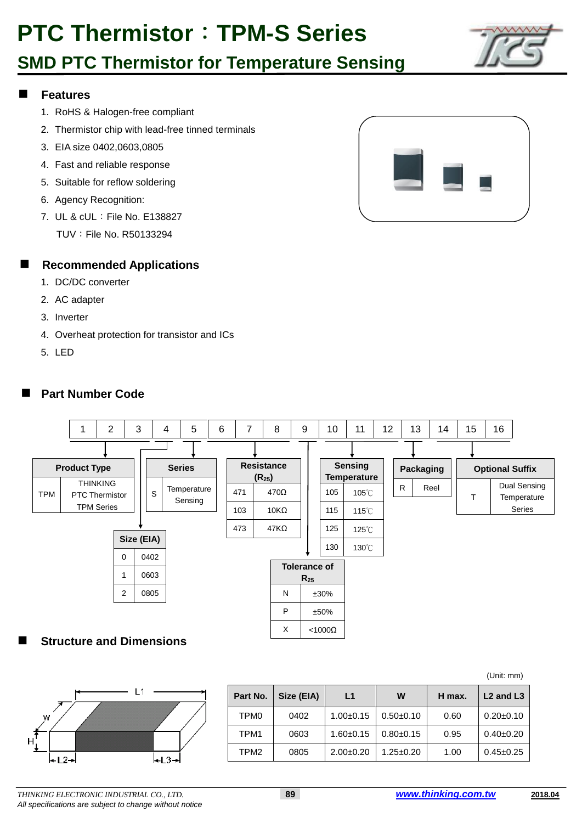### **SMD PTC Thermistor for Temperature Sensing**



#### **Features**

- 1. RoHS & Halogen-free compliant
- 2. Thermistor chip with lead-free tinned terminals
- 3. EIA size 0402,0603,0805
- 4. Fast and reliable response
- 5. Suitable for reflow soldering
- 6. Agency Recognition:
- 7. UL & cUL: File No. E138827
	- TUV:File No. R50133294

### **Recommended Applications**

- 1. DC/DC converter
- 2. AC adapter
- 3. Inverter
- 4. Overheat protection for transistor and ICs
- 5. LED

### **Part Number Code**





|                  |                  |            |               |                 |        | (Unit: mm)                        |
|------------------|------------------|------------|---------------|-----------------|--------|-----------------------------------|
|                  | Part No.         | Size (EIA) | L1            | W               | H max. | L <sub>2</sub> and L <sub>3</sub> |
| W                | TPM <sub>0</sub> | 0402       | $1.00+0.15$   | $0.50 + 0.10$   | 0.60   | $0.20 \pm 0.10$                   |
| H.               | TPM1             | 0603       | $1.60 + 0.15$ | $0.80 + 0.15$   | 0.95   | $0.40 \pm 0.20$                   |
| l←L3→l<br>$+12+$ | TPM <sub>2</sub> | 0805       | $2.00+0.20$   | $1.25 \pm 0.20$ | 1.00   | $0.45 \pm 0.25$                   |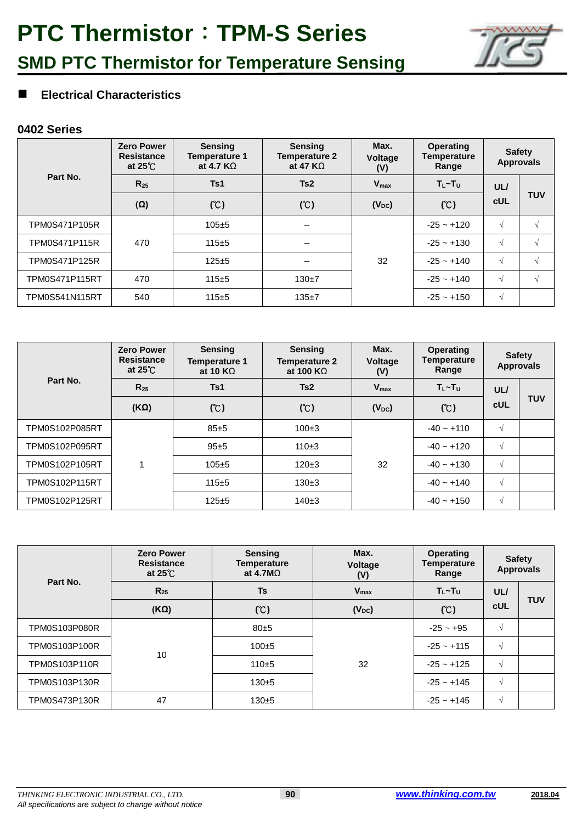

### **Electrical Characteristics**

|                       | <b>Zero Power</b><br><b>Resistance</b><br>at $25^\circ$ | <b>Sensing</b><br><b>Temperature 1</b><br>at 4.7 $K\Omega$ | <b>Sensing</b><br><b>Temperature 2</b><br>at 47 $K\Omega$ | Max.<br>Voltage<br>(V) | <b>Operating</b><br><b>Temperature</b><br>Range | <b>Safety</b> | <b>Approvals</b> |
|-----------------------|---------------------------------------------------------|------------------------------------------------------------|-----------------------------------------------------------|------------------------|-------------------------------------------------|---------------|------------------|
| Part No.              | $R_{25}$                                                | Ts1                                                        | Ts2                                                       | $V_{\text{max}}$       | $T_L \sim T_U$                                  | UL/           |                  |
|                       | $(\Omega)$                                              | (C)                                                        | (C)                                                       | $(V_{DC})$             | (C)                                             | <b>cUL</b>    | <b>TUV</b>       |
| TPM0S471P105R         |                                                         | $105 + 5$                                                  | $- -$                                                     |                        | $-25 - +120$                                    | $\sqrt{ }$    | V                |
| <b>TPM0S471P115R</b>  | 470                                                     | $115 + 5$                                                  | $\overline{\phantom{m}}$                                  |                        | $-25 - +130$                                    | $\sqrt{ }$    | $\sqrt{ }$       |
| TPM0S471P125R         |                                                         | $125 + 5$                                                  | $- -$                                                     | 32                     | $-25 - +140$                                    | $\sqrt{ }$    | V                |
| <b>TPM0S471P115RT</b> | 470                                                     | $115 + 5$                                                  | $130+7$                                                   |                        | $-25 - +140$                                    | $\sqrt{ }$    | V                |
| <b>TPM0S541N115RT</b> | 540                                                     | $115 + 5$                                                  | $135 + 7$                                                 |                        | $-25 - +150$                                    | V             |                  |

|                | <b>Zero Power</b><br><b>Resistance</b><br>at $25^{\circ}$ | <b>Sensing</b><br><b>Temperature 1</b><br>at 10 $K\Omega$ | <b>Sensing</b><br><b>Temperature 2</b><br>at 100 K $\Omega$ | Max.<br><b>Voltage</b><br>(V) | <b>Operating</b><br><b>Temperature</b><br>Range |            | <b>Safety</b><br><b>Approvals</b> |
|----------------|-----------------------------------------------------------|-----------------------------------------------------------|-------------------------------------------------------------|-------------------------------|-------------------------------------------------|------------|-----------------------------------|
| Part No.       | $R_{25}$                                                  | Ts1                                                       | Ts2                                                         | $V_{\text{max}}$              | $T_L \sim T_U$                                  | UL/        |                                   |
|                | $(K\Omega)$                                               | (C)                                                       | (C)                                                         | $(V_{DC})$                    | (C)                                             | <b>cUL</b> | <b>TUV</b>                        |
| TPM0S102P085RT |                                                           | 85±5                                                      | $100+3$                                                     |                               | $-40 - +110$                                    | $\sqrt{ }$ |                                   |
| TPM0S102P095RT |                                                           | 95±5                                                      | $110+3$                                                     |                               | $-40 - +120$                                    | $\sqrt{ }$ |                                   |
| TPM0S102P105RT |                                                           | $105+5$                                                   | $120+3$                                                     | 32                            | $-40 - +130$                                    | $\sqrt{ }$ |                                   |
| TPM0S102P115RT |                                                           | $115+5$                                                   | $130+3$                                                     |                               | $-40 - +140$                                    | $\sqrt{ }$ |                                   |
| TPM0S102P125RT |                                                           | $125 + 5$                                                 | $140+3$                                                     |                               | $-40 - +150$                                    | $\sqrt{ }$ |                                   |

| Part No.             | <b>Zero Power</b><br><b>Resistance</b><br>at $25^\circ$ C | <b>Sensing</b><br><b>Temperature</b><br>at 4.7M $\Omega$ | Max.<br>Voltage<br>(V) | <b>Operating</b><br><b>Temperature</b><br>Range |            | <b>Safety</b><br><b>Approvals</b> |
|----------------------|-----------------------------------------------------------|----------------------------------------------------------|------------------------|-------------------------------------------------|------------|-----------------------------------|
|                      | $R_{25}$                                                  | Ts                                                       | $V_{\text{max}}$       | $T_L \sim T_U$                                  | UL/        |                                   |
|                      | $(K\Omega)$                                               | (C)                                                      | $(V_{DC})$             | (C)                                             | <b>cUL</b> | <b>TUV</b>                        |
| <b>TPM0S103P080R</b> |                                                           | 80±5                                                     | 32                     | $-25 - +95$                                     | $\sqrt{ }$ |                                   |
| TPM0S103P100R        |                                                           | $100+5$                                                  |                        | $-25 - +115$                                    | $\sqrt{ }$ |                                   |
| <b>TPM0S103P110R</b> | 10                                                        | $110 + 5$                                                |                        | $-25 - +125$                                    | $\sqrt{ }$ |                                   |
| TPM0S103P130R        |                                                           | $130 + 5$                                                |                        | $-25 - +145$                                    | $\sqrt{ }$ |                                   |
| TPM0S473P130R        | 47                                                        | $130 + 5$                                                |                        | $-25 - +145$                                    | $\sqrt{ }$ |                                   |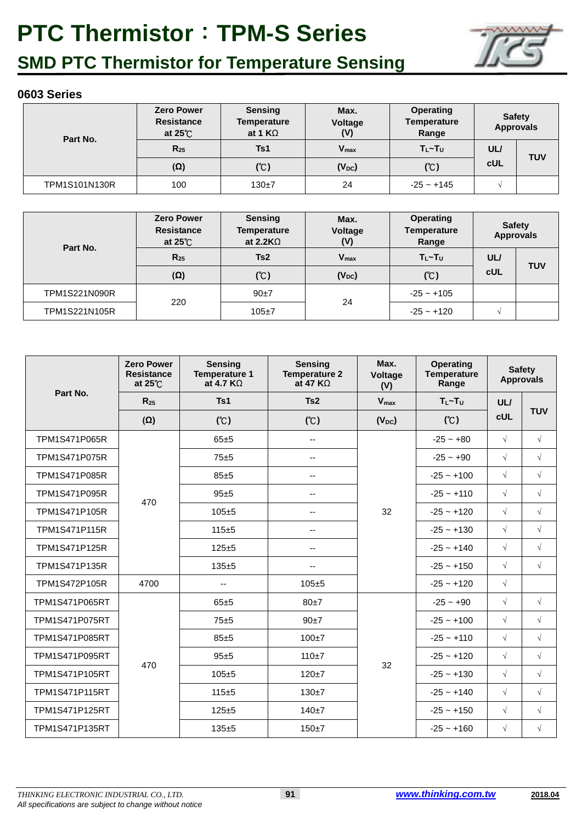

## **SMD PTC Thermistor for Temperature Sensing**

| Part No.             | <b>Zero Power</b><br><b>Resistance</b><br>at $25^{\circ}$ | <b>Sensing</b><br><b>Temperature</b><br>at 1 $K\Omega$ | Max.<br>Voltage<br>(V) | <b>Operating</b><br><b>Temperature</b><br>Range | <b>Safety</b> | <b>Approvals</b> |
|----------------------|-----------------------------------------------------------|--------------------------------------------------------|------------------------|-------------------------------------------------|---------------|------------------|
|                      | $R_{25}$                                                  | Ts1                                                    | $V_{\text{max}}$       | $T_{L}$ ~ $T_{U}$                               | UL/           | <b>TUV</b>       |
|                      | $(\Omega)$                                                | (C)                                                    | $(V_{DC})$             | (C)                                             | <b>cUL</b>    |                  |
| <b>TPM1S101N130R</b> | 100                                                       | $130+7$                                                | 24                     | $-25 - +145$                                    |               |                  |

| Part No.             | <b>Zero Power</b><br><b>Resistance</b><br>at $25^{\circ}$ | <b>Sensing</b><br><b>Temperature</b><br>at 2.2K $\Omega$ | Max.<br>Voltage<br>(V) | <b>Operating</b><br><b>Temperature</b><br>Range |            | <b>Safety</b><br><b>Approvals</b> |
|----------------------|-----------------------------------------------------------|----------------------------------------------------------|------------------------|-------------------------------------------------|------------|-----------------------------------|
|                      | $R_{25}$                                                  | Ts2                                                      | $V_{\text{max}}$       | $T_{L}$ ~ $T_{U}$                               | <b>UL/</b> | <b>TUV</b>                        |
|                      | $(\Omega)$                                                | (C)                                                      | $(V_{DC})$             | (C)                                             | <b>cUL</b> |                                   |
| <b>TPM1S221N090R</b> |                                                           | $90+7$                                                   |                        | $-25 - +105$                                    |            |                                   |
| TPM1S221N105R        | 220                                                       | $105 + 7$                                                | 24                     | $-25 - +120$                                    |            |                                   |

|                       | <b>Zero Power</b><br><b>Resistance</b><br>at $25^{\circ}$ C | <b>Sensing</b><br><b>Temperature 1</b><br>at 4.7 $K\Omega$ | <b>Sensing</b><br><b>Temperature 2</b><br>at 47 $K\Omega$ | Max.<br>Voltage<br>(V) | <b>Operating</b><br><b>Temperature</b><br>Range |              | <b>Safety</b><br><b>Approvals</b> |            |
|-----------------------|-------------------------------------------------------------|------------------------------------------------------------|-----------------------------------------------------------|------------------------|-------------------------------------------------|--------------|-----------------------------------|------------|
| Part No.              | $R_{25}$                                                    | Ts1                                                        | Ts2                                                       | $V_{max}$              | $T_L \sim T_U$                                  | UL/          |                                   |            |
|                       | $(\Omega)$                                                  | (C)                                                        | (C)                                                       | $(V_{DC})$             | (C)                                             | <b>cUL</b>   | <b>TUV</b>                        |            |
| TPM1S471P065R         |                                                             | 65±5                                                       | $\overline{\phantom{a}}$                                  |                        | $-25 - +80$                                     | $\sqrt{}$    | $\sqrt{}$                         |            |
| TPM1S471P075R         |                                                             | 75±5                                                       | $\overline{\phantom{a}}$                                  |                        | $-25 - +90$                                     | $\sqrt{}$    | $\sqrt{}$                         |            |
| TPM1S471P085R         |                                                             | 85±5                                                       | --                                                        |                        | $-25 - +100$                                    | $\sqrt{}$    | $\sqrt{}$                         |            |
| TPM1S471P095R         | 470                                                         | $95 + 5$                                                   | $\overline{\phantom{a}}$                                  |                        | $-25 - +110$                                    | $\sqrt{}$    | $\sqrt{}$                         |            |
| TPM1S471P105R         |                                                             | $105 + 5$                                                  | $\overline{\phantom{a}}$                                  | 32                     |                                                 | $-25 - +120$ | $\sqrt{}$                         | $\sqrt{ }$ |
| TPM1S471P115R         |                                                             | $115 + 5$                                                  | --                                                        |                        |                                                 | $-25 - +130$ | $\sqrt{}$                         | $\sqrt{}$  |
| TPM1S471P125R         |                                                             | $125 + 5$                                                  | --                                                        |                        | $-25 - +140$                                    | $\sqrt{}$    | $\sqrt{ }$                        |            |
| TPM1S471P135R         |                                                             | $135 + 5$                                                  | --                                                        |                        |                                                 | $-25 - +150$ | $\sqrt{ }$                        | $\sqrt{ }$ |
| TPM1S472P105R         | 4700                                                        | $\mathbf{u}$                                               | $105 + 5$                                                 |                        | $-25 - +120$                                    | $\sqrt{ }$   |                                   |            |
| TPM1S471P065RT        |                                                             | $65 + 5$                                                   | 80±7                                                      |                        | $-25 - +90$                                     | $\sqrt{ }$   | $\sqrt{}$                         |            |
| TPM1S471P075RT        |                                                             | 75±5                                                       | 90±7                                                      |                        | $-25 - +100$                                    | $\sqrt{}$    | $\sqrt{ }$                        |            |
| TPM1S471P085RT        |                                                             | $85 + 5$                                                   | $100+7$                                                   |                        | $-25 - +110$                                    | $\sqrt{}$    | $\sqrt{}$                         |            |
| TPM1S471P095RT        | 470                                                         | $95 + 5$                                                   | $110+7$                                                   | 32                     | $-25 - +120$                                    | $\sqrt{ }$   | $\sqrt{}$                         |            |
| TPM1S471P105RT        |                                                             | $105 + 5$                                                  | $120 + 7$                                                 |                        | $-25 - +130$                                    | $\sqrt{ }$   | $\sqrt{}$                         |            |
| TPM1S471P115RT        |                                                             | $115 + 5$                                                  | $130 + 7$                                                 |                        | $-25 - +140$                                    | $\sqrt{ }$   | $\sqrt{}$                         |            |
| TPM1S471P125RT        |                                                             | $125 + 5$                                                  | $140+7$                                                   |                        | $-25 - +150$                                    | $\sqrt{}$    | $\sqrt{}$                         |            |
| <b>TPM1S471P135RT</b> |                                                             | $135 + 5$                                                  | $150 + 7$                                                 |                        | $-25 - +160$                                    | $\sqrt{}$    | $\sqrt{}$                         |            |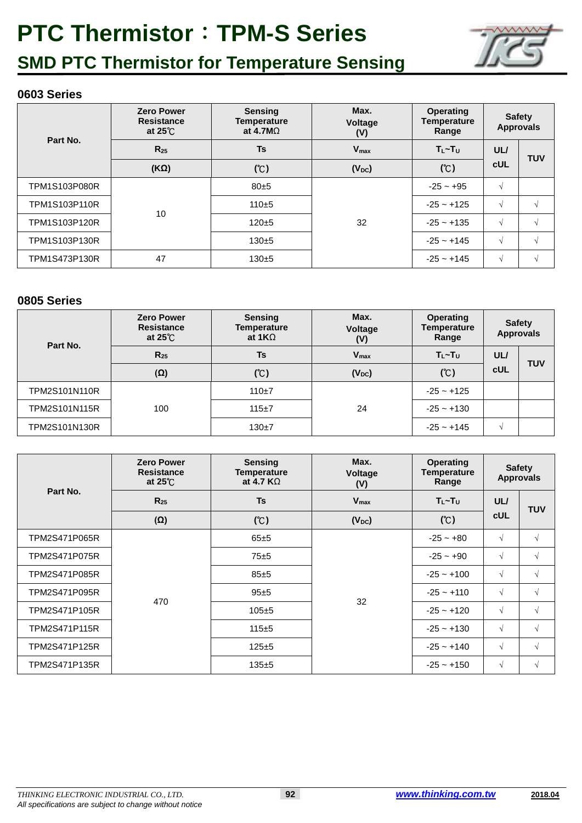

## **SMD PTC Thermistor for Temperature Sensing**

### **0603 Series**

|                      | <b>Zero Power</b><br><b>Resistance</b><br>at $25^\circ$ | <b>Sensing</b><br><b>Temperature</b><br>at 4.7M $\Omega$ | Max.<br>Voltage<br>(V) | <b>Operating</b><br><b>Temperature</b><br>Range | <b>Safety</b><br><b>Approvals</b> |               |
|----------------------|---------------------------------------------------------|----------------------------------------------------------|------------------------|-------------------------------------------------|-----------------------------------|---------------|
| Part No.             | $R_{25}$                                                | Ts                                                       | $V_{\text{max}}$       | $T_L \sim T_U$                                  | UL/                               | <b>TUV</b>    |
|                      | $(K\Omega)$                                             | (C)                                                      | $(V_{DC})$             | (C)                                             | <b>cUL</b>                        |               |
| <b>TPM1S103P080R</b> |                                                         | 80±5                                                     | 32                     | $-25 - +95$                                     | √                                 |               |
| <b>TPM1S103P110R</b> |                                                         | $110+5$                                                  |                        | $-25 - +125$                                    | √                                 | $\mathcal{L}$ |
| TPM1S103P120R        | 10                                                      | $120 + 5$                                                |                        | $-25 - +135$                                    | √                                 | $\mathcal{L}$ |
| TPM1S103P130R        |                                                         | $130 + 5$                                                |                        | $-25 - +145$                                    | √                                 | $\sqrt{ }$    |
| TPM1S473P130R        | 47                                                      | $130 + 5$                                                |                        | $-25 - +145$                                    | √                                 | N             |

| Part No.      | <b>Zero Power</b><br><b>Resistance</b><br>at $25^{\circ}$ C | <b>Sensing</b><br><b>Temperature</b><br>at $1K\Omega$ | Max.<br><b>Voltage</b><br>(V) | <b>Operating</b><br>Temperature<br>Range |               | <b>Safety</b><br><b>Approvals</b> |
|---------------|-------------------------------------------------------------|-------------------------------------------------------|-------------------------------|------------------------------------------|---------------|-----------------------------------|
|               | $R_{25}$<br>Ts                                              | <b>V</b> <sub>max</sub>                               | $T_l$ ~ $T_U$                 | UL/                                      | <b>TUV</b>    |                                   |
|               | $(\Omega)$                                                  | (C)                                                   | $(V_{DC})$                    | (C)                                      | <b>cUL</b>    |                                   |
| TPM2S101N110R |                                                             | $110+7$                                               |                               | $-25 - 125$                              |               |                                   |
| TPM2S101N115R | 100                                                         | $115 + 7$                                             | 24                            | $-25 - +130$                             |               |                                   |
| TPM2S101N130R |                                                             | $130+7$                                               |                               | $-25 - +145$                             | $\mathcal{N}$ |                                   |

|               | <b>Zero Power</b><br><b>Resistance</b><br>at $25^{\circ}$ | <b>Sensing</b><br><b>Temperature</b><br>at 4.7 $K\Omega$ | Max.<br>Voltage<br>(V) | <b>Operating</b><br><b>Temperature</b><br>Range | <b>Approvals</b> | <b>Safety</b> |
|---------------|-----------------------------------------------------------|----------------------------------------------------------|------------------------|-------------------------------------------------|------------------|---------------|
| Part No.      | $R_{25}$                                                  | Ts                                                       | $V_{max}$              | $T_1 \sim T_U$                                  | UL/              | <b>TUV</b>    |
|               | $(\Omega)$                                                | (C)                                                      | $(V_{DC})$             | (C)                                             | <b>cUL</b>       |               |
| TPM2S471P065R |                                                           | 65±5                                                     | 32                     | $-25 - +80$                                     | $\sqrt{ }$       | $\sqrt{}$     |
| TPM2S471P075R |                                                           | 75±5                                                     |                        | $-25 - +90$                                     | $\sqrt{ }$       | V             |
| TPM2S471P085R |                                                           | 85±5                                                     |                        | $-25 - +100$                                    | $\sqrt{ }$       | $\sqrt{ }$    |
| TPM2S471P095R | 470                                                       | 95±5                                                     |                        | $-25 - +110$                                    | $\sqrt{ }$       | $\sqrt{ }$    |
| TPM2S471P105R |                                                           | $105 + 5$                                                |                        | $-25 - +120$                                    | $\sqrt{ }$       | V             |
| TPM2S471P115R |                                                           | $115 + 5$                                                |                        | $-25 - +130$                                    | $\sqrt{ }$       | V             |
| TPM2S471P125R |                                                           | $125 + 5$                                                |                        | $-25 - +140$                                    | $\sqrt{ }$       | V             |
| TPM2S471P135R |                                                           | $135 + 5$                                                |                        | $-25 - +150$                                    | $\sqrt{ }$       | V             |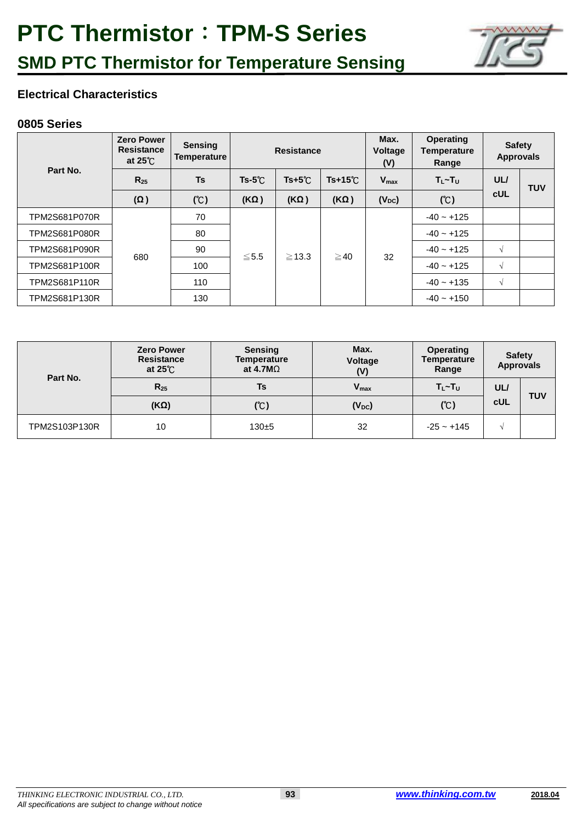

### **Electrical Characteristics**

|                      | <b>Zero Power</b><br><b>Resistance</b><br>at $25^{\circ}$ C | <b>Sensing</b><br>Temperature |                | Max.<br><b>Resistance</b><br>(V) |                 |                  |                | <b>Voltage</b> | <b>Operating</b><br>Temperature<br>Range | <b>Safety</b><br><b>Approvals</b> |  |
|----------------------|-------------------------------------------------------------|-------------------------------|----------------|----------------------------------|-----------------|------------------|----------------|----------------|------------------------------------------|-----------------------------------|--|
| Part No.             | $R_{25}$                                                    | <b>Ts</b>                     | $Ts-5^{\circ}$ | $Ts+5^\circ C$                   | $Ts+15^{\circ}$ | $V_{\text{max}}$ | $T_L \sim T_U$ | UL/            | <b>TUV</b>                               |                                   |  |
|                      | $(\Omega)$                                                  | (C)                           | $(K\Omega)$    | $(K\Omega)$                      | $(K\Omega)$     | $(V_{DC})$       | (C)            | <b>cUL</b>     |                                          |                                   |  |
| <b>TPM2S681P070R</b> |                                                             | 70                            |                |                                  |                 |                  | $-40 - +125$   |                |                                          |                                   |  |
| TPM2S681P080R        |                                                             | 80                            |                |                                  |                 |                  | $-40 - +125$   |                |                                          |                                   |  |
| <b>TPM2S681P090R</b> |                                                             | 90                            | ≤5.5           | $\geq$ 13.3                      | $\geq$ 40       | 32               | $-40 - +125$   | $\sqrt{ }$     |                                          |                                   |  |
| TPM2S681P100R        | 680                                                         | 100                           |                |                                  |                 |                  | $-40 - +125$   | $\sqrt{ }$     |                                          |                                   |  |
| TPM2S681P110R        |                                                             | 110                           |                |                                  |                 |                  | $-40 - +135$   | $\sqrt{ }$     |                                          |                                   |  |
| TPM2S681P130R        |                                                             | 130                           |                |                                  |                 |                  | $-40 - +150$   |                |                                          |                                   |  |

| Part No.      | <b>Zero Power</b><br><b>Resistance</b><br>at $25^{\circ}$ | <b>Sensing</b><br><b>Temperature</b><br>at 4.7M $\Omega$ | Max.<br>Voltage<br>(V) | <b>Operating</b><br><b>Temperature</b><br>Range | <b>Safety</b><br><b>Approvals</b> |            |
|---------------|-----------------------------------------------------------|----------------------------------------------------------|------------------------|-------------------------------------------------|-----------------------------------|------------|
|               | $R_{25}$                                                  | Ts                                                       | $V_{\text{max}}$       | $T_l$ ~ $T_U$                                   | UL/                               |            |
|               | $(K\Omega)$                                               | (C)                                                      | $(V_{DC})$             | (C)                                             | cUL                               | <b>TUV</b> |
| TPM2S103P130R | 10                                                        | $130 + 5$                                                | 32                     | $-25 - +145$                                    | V                                 |            |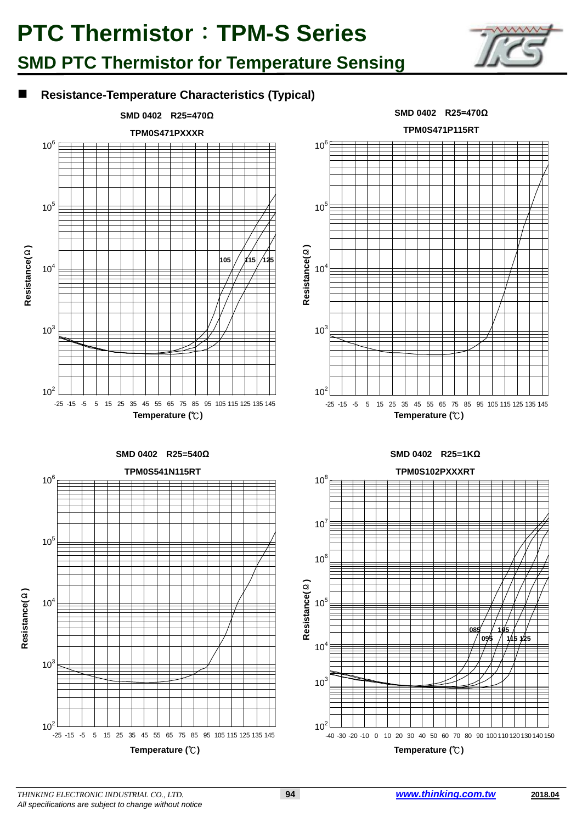### **SMD PTC Thermistor for Temperature Sensing**



### **Resistance-Temperature Characteristics (Typical)**

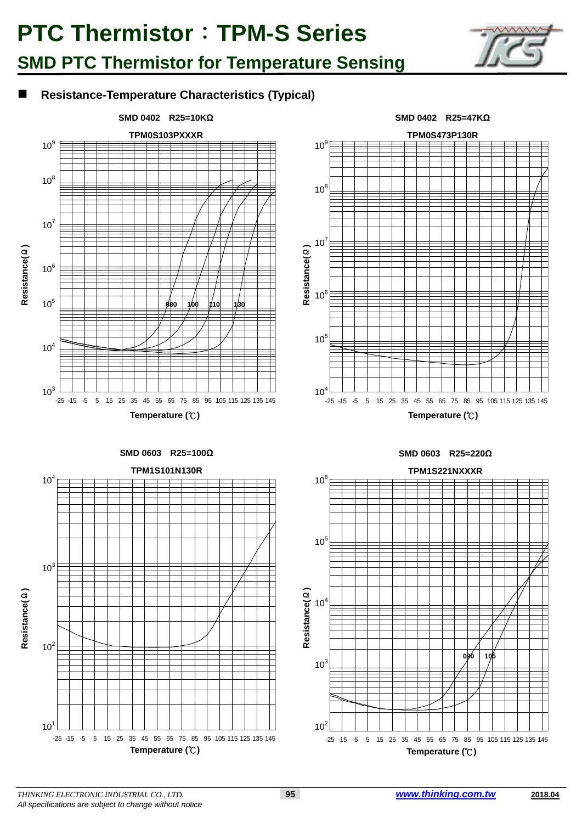## **SMD PTC Thermistor for Temperature Sensing**



### **Resistance-Temperature Characteristics (Typical)**



**Temperature (**℃**)**



**Temperature (**℃**)**

#### **SMD 0603 R25=220Ω**



**SMD 0603 R25=100Ω**



*THINKING ELECTRONIC INDUSTRIAL CO., LTD.* **95** *www.thinking.com.tw* **2018.04** *All specifications are subject to change without notice*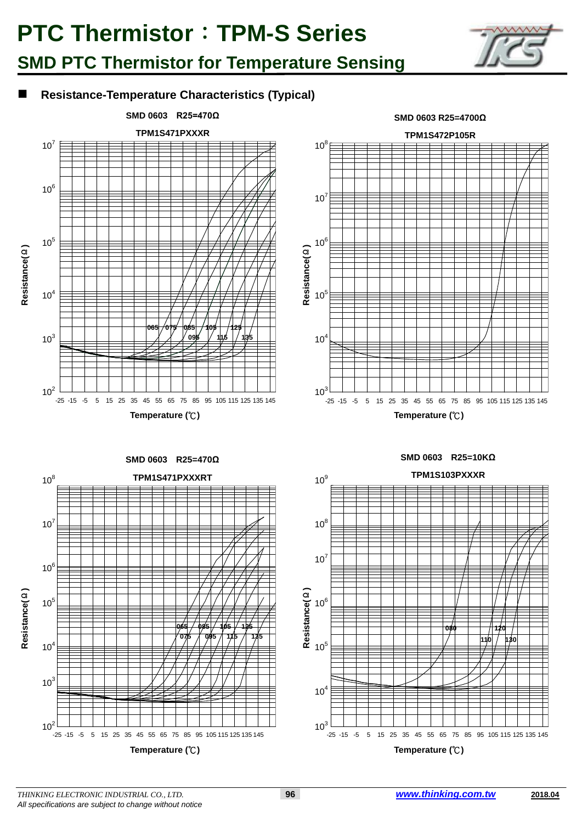## **SMD PTC Thermistor for Temperature Sensing**



### **Resistance-Temperature Characteristics (Typical)**



**Temperature (**℃**)**

**SMD 0603 R25=470Ω** 



**SMD 0603 R25=4700Ω**

**Temperature (**℃**)**

#### **SMD 0603 R25=10KΩ**





*THINKING ELECTRONIC INDUSTRIAL CO., LTD.* **96** *www.thinking.com.tw* **2018.04** *All specifications are subject to change without notice*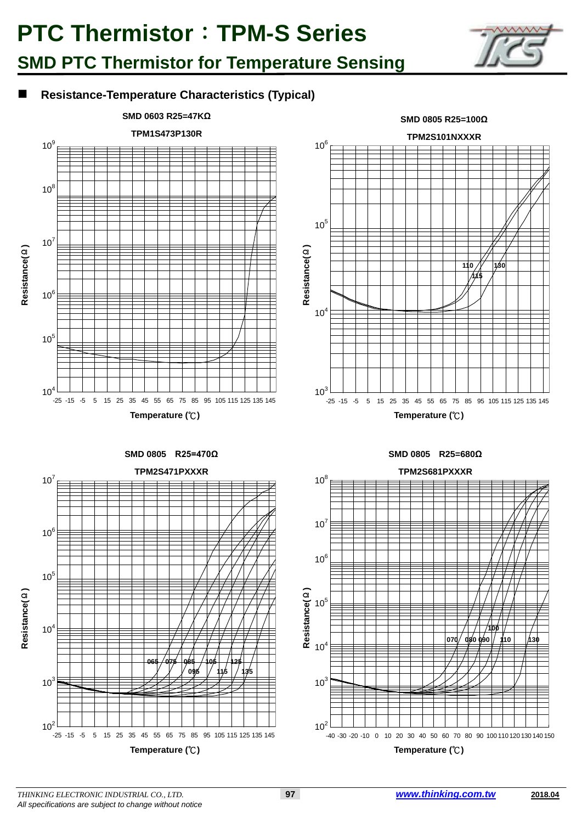

### **Resistance-Temperature Characteristics (Typical)**

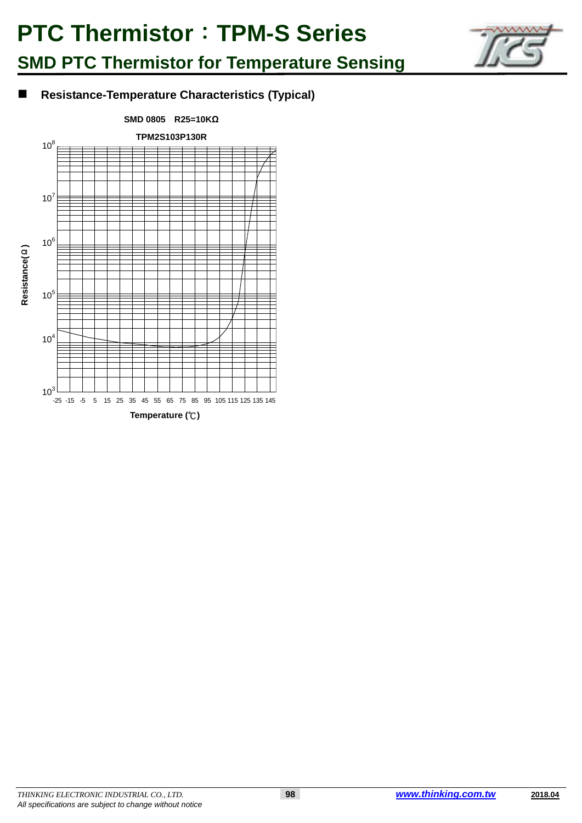

### ■ Resistance-Temperature Characteristics (Typical)

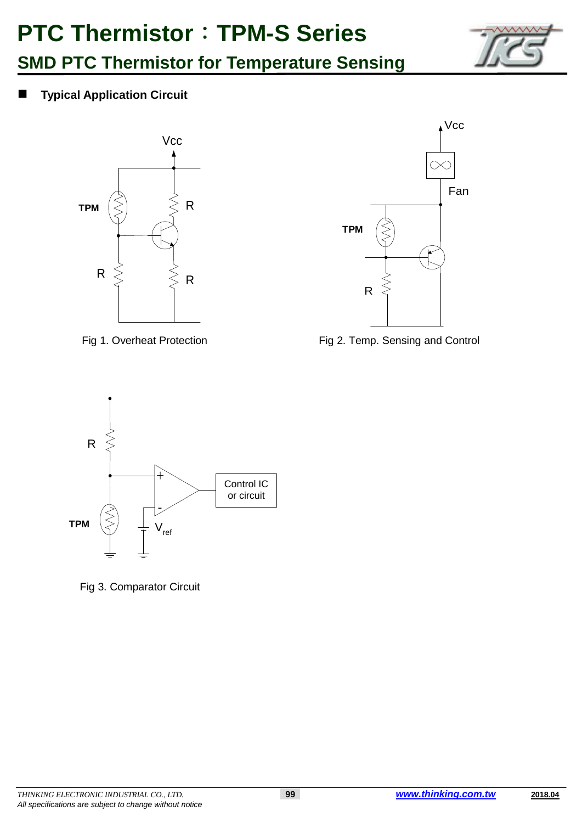



**Typical Application Circuit**





Fig 1. Overheat Protection Fig 2. Temp. Sensing and Control



Fig 3. Comparator Circuit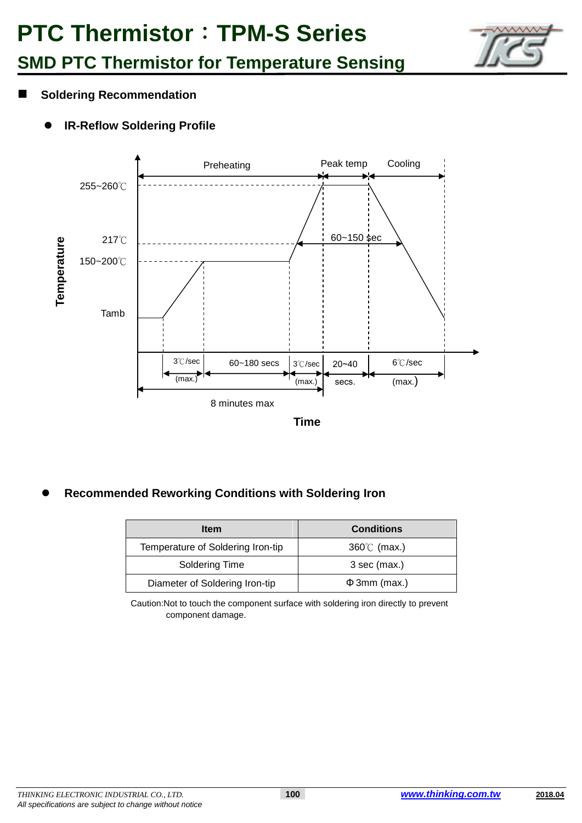

- **Soldering Recommendation**
	- **IR-Reflow Soldering Profile**



**Recommended Reworking Conditions with Soldering Iron**

| <b>Item</b>                       | <b>Conditions</b>    |
|-----------------------------------|----------------------|
| Temperature of Soldering Iron-tip | $360^{\circ}$ (max.) |
| Soldering Time                    | 3 sec (max.)         |
| Diameter of Soldering Iron-tip    | $\Phi$ 3mm (max.)    |

Caution:Not to touch the component surface with soldering iron directly to prevent component damage.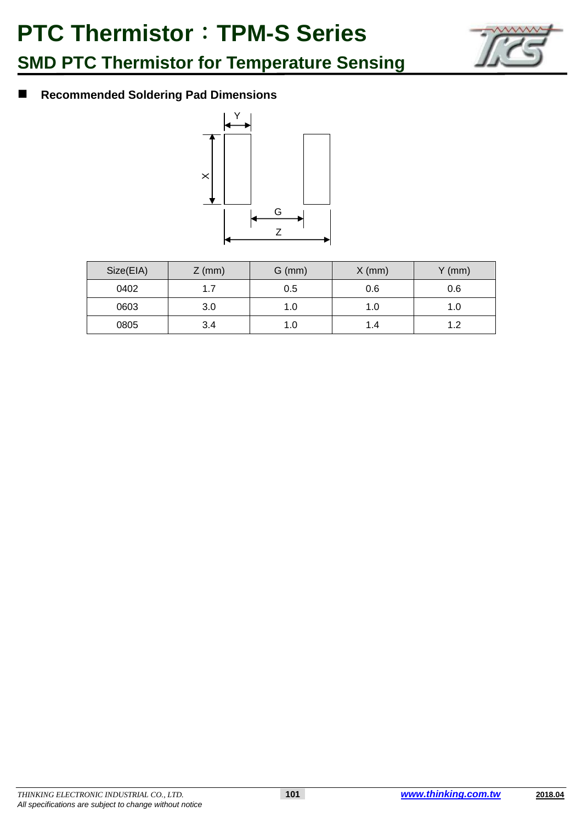

### **Recommended Soldering Pad Dimensions**



| Size(EIA) | $Z$ (mm) | $G$ (mm) | $X$ (mm) | $Y$ (mm) |
|-----------|----------|----------|----------|----------|
| 0402      | 1.7      | 0.5      | 0.6      | 0.6      |
| 0603      | 3.0      | 1.0      | 1.0      | 1.0      |
| 0805      | 3.4      | 1.0      | 1.4      | 1 つ      |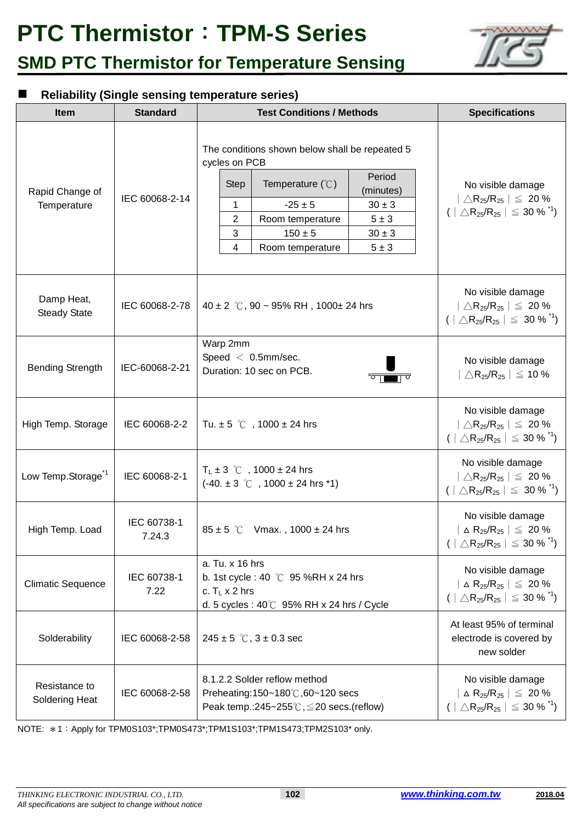

### **Reliability (Single sensing temperature series)**

| <b>Item</b>                       | <b>Standard</b>       | <b>Test Conditions / Methods</b>                                                                                                                                                                                                                                                                  | <b>Specifications</b>                                                                                                                                |  |  |
|-----------------------------------|-----------------------|---------------------------------------------------------------------------------------------------------------------------------------------------------------------------------------------------------------------------------------------------------------------------------------------------|------------------------------------------------------------------------------------------------------------------------------------------------------|--|--|
| Rapid Change of<br>Temperature    | IEC 60068-2-14        | The conditions shown below shall be repeated 5<br>cycles on PCB<br>Period<br>Temperature $(\mathcal{C})$<br><b>Step</b><br>(minutes)<br>1<br>$-25 \pm 5$<br>$30 \pm 3$<br>$\overline{c}$<br>$5 \pm 3$<br>Room temperature<br>3<br>$150 \pm 5$<br>$30 \pm 3$<br>4<br>$5 \pm 3$<br>Room temperature | No visible damage<br>$ \triangle R_{25}/R_{25}  \leq 20\%$<br>$( \triangle R_{25}/R_{25}  \leq 30\%$ <sup>*1</sup> )                                 |  |  |
| Damp Heat,<br><b>Steady State</b> | IEC 60068-2-78        | 40 ± 2 °C, 90 ~ 95% RH, 1000 ± 24 hrs                                                                                                                                                                                                                                                             | No visible damage<br>$ \triangle \mathsf{R}_{25}/\mathsf{R}_{25}  \leq 20\,\%$<br>$( \triangle R_{25}/R_{25}  \leq 30\%$ <sup>*1</sup> )             |  |  |
| <b>Bending Strength</b>           | IEC-60068-2-21        | Warp 2mm<br>Speed $< 0.5$ mm/sec.<br>Duration: 10 sec on PCB.                                                                                                                                                                                                                                     | No visible damage<br>$\triangle$ R <sub>25</sub> /R <sub>25</sub>   $\leq$ 10 %                                                                      |  |  |
| High Temp. Storage                | IEC 60068-2-2         | Tu. $\pm 5$ °C, 1000 $\pm$ 24 hrs                                                                                                                                                                                                                                                                 | No visible damage<br>$ \triangle R_{25}/R_{25}  \leq 20\%$<br>$(  \triangle R_{25}/R_{25}   \leq 30 \%$ <sup>7</sup> )                               |  |  |
| Low Temp.Storage <sup>1</sup>     | IEC 60068-2-1         | $T_L \pm 3$ °C, 1000 $\pm$ 24 hrs<br>$(-40. \pm 3 \degree \degree \degree$ , 1000 $\pm$ 24 hrs *1)                                                                                                                                                                                                | No visible damage<br>$ \triangle \mathsf{R}_{25}/\mathsf{R}_{25}  \leq 20\,\%$<br>$(   \triangle R_{25}/R_{25}   \leq 30 %$ <sup>*1</sup> )          |  |  |
| High Temp. Load                   | IEC 60738-1<br>7.24.3 | $85 \pm 5$ °C Vmax., 1000 $\pm$ 24 hrs                                                                                                                                                                                                                                                            | No visible damage<br>$\Delta$ R <sub>25</sub> /R <sub>25</sub> $\vert \leq 20\%$<br>$(   \triangle R_{25}/R_{25}   \leq 30 %$ <sup>*1</sup> )        |  |  |
| <b>Climatic Sequence</b>          | IEC 60738-1<br>7.22   | a. Tu. x 16 hrs<br>b. 1st cycle : 40 $\degree$ C 95 %RH x 24 hrs<br>c. $T_1 \times 2$ hrs<br>d. 5 cycles: $40^{\circ}$ C 95% RH x 24 hrs / Cycle                                                                                                                                                  | No visible damage<br>$\vert$ $\Delta$ R <sub>25</sub> /R <sub>25</sub> $\vert \leq 20$ %<br>$(   \triangle R_{25}/R_{25}   \leq 30 %$ <sup>1</sup> ) |  |  |
| Solderability                     | IEC 60068-2-58        | $245 \pm 5$ °C, $3 \pm 0.3$ sec                                                                                                                                                                                                                                                                   | At least 95% of terminal<br>electrode is covered by<br>new solder                                                                                    |  |  |
| Resistance to<br>Soldering Heat   | IEC 60068-2-58        | 8.1.2.2 Solder reflow method<br>Preheating:150~180℃,60~120 secs<br>Peak temp.: $245 - 255^\circ \text{C}$ , $\leq 20$ secs. (reflow)                                                                                                                                                              | No visible damage<br>$\Delta$ R <sub>25</sub> /R <sub>25</sub> $\vert \leq 20\%$<br>$(   \triangle R_{25}/R_{25}   \leq 30 %$ <sup>*1</sup> )        |  |  |

NOTE: \*1:Apply for TPM0S103\*;TPM0S473\*;TPM1S103\*;TPM1S473;TPM2S103\* only.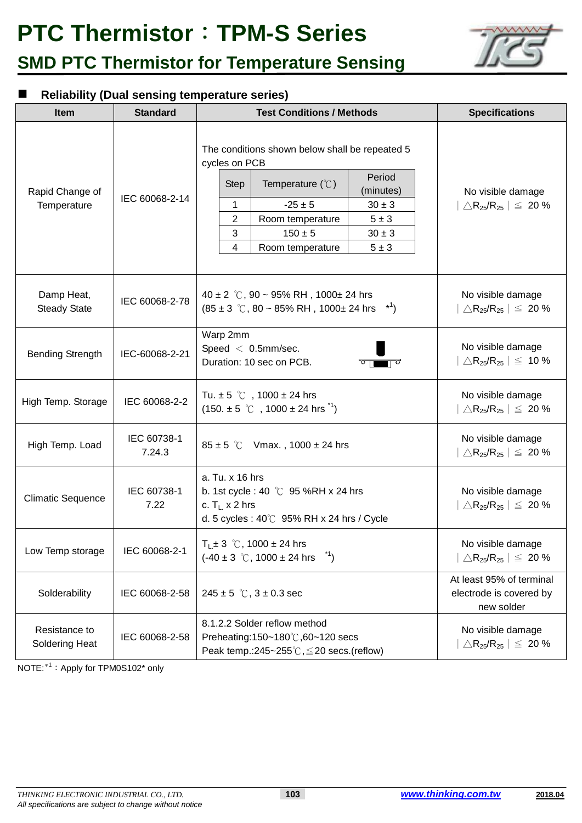

### **Reliability (Dual sensing temperature series)**

| <b>Item</b>                       | <b>Standard</b>       | <b>Test Conditions / Methods</b>                                                                                                                                                                                                                                                                               | <b>Specifications</b>                                                               |  |  |
|-----------------------------------|-----------------------|----------------------------------------------------------------------------------------------------------------------------------------------------------------------------------------------------------------------------------------------------------------------------------------------------------------|-------------------------------------------------------------------------------------|--|--|
| Rapid Change of<br>Temperature    | IEC 60068-2-14        | The conditions shown below shall be repeated 5<br>cycles on PCB<br>Period<br>Temperature $(\mathcal{C})$<br><b>Step</b><br>(minutes)<br>$-25 \pm 5$<br>1<br>$30 \pm 3$<br>$\overline{2}$<br>$5 \pm 3$<br>Room temperature<br>3<br>$150 \pm 5$<br>$30 \pm 3$<br>$\overline{4}$<br>$5 \pm 3$<br>Room temperature | No visible damage<br>$\Delta$ R <sub>25</sub> /R <sub>25</sub> $\vert \leq 20\%$    |  |  |
| Damp Heat,<br><b>Steady State</b> | IEC 60068-2-78        | 40 ± 2 °C, 90 ~ 95% RH, 1000 ± 24 hrs<br>$(85 \pm 3 \degree \text{C}, 80 \sim 85\% \text{ RH}, 1000 \pm 24 \text{ hrs} \text{ m}^3)$                                                                                                                                                                           | No visible damage<br>$\triangle$ R <sub>25</sub> /R <sub>25</sub> $  \leq 20$ %     |  |  |
| <b>Bending Strength</b>           | IEC-60068-2-21        | Warp 2mm<br>Speed $< 0.5$ mm/sec.<br>Duration: 10 sec on PCB.                                                                                                                                                                                                                                                  | No visible damage<br>$\Delta$ R <sub>25</sub> /R <sub>25</sub>   $\leq 10\%$        |  |  |
| High Temp. Storage                | IEC 60068-2-2         | Tu. $\pm 5$ °C, 1000 $\pm$ 24 hrs<br>$(150. \pm 5$ °C, 1000 $\pm$ 24 hrs <sup>*1</sup> )                                                                                                                                                                                                                       | No visible damage<br>$\triangle$ R <sub>25</sub> /R <sub>25</sub>   $\leq 20\%$     |  |  |
| High Temp. Load                   | IEC 60738-1<br>7.24.3 | $85 \pm 5$ °C Vmax., 1000 $\pm$ 24 hrs                                                                                                                                                                                                                                                                         | No visible damage<br>$\triangle$ R <sub>25</sub> /R <sub>25</sub>   $\leq 20\%$     |  |  |
| <b>Climatic Sequence</b>          | IEC 60738-1<br>7.22   | a. Tu. x 16 hrs<br>b. 1st cycle : 40 $\degree$ C 95 %RH x 24 hrs<br>c. $T_L$ x 2 hrs<br>d. 5 cycles: $40^{\circ}$ C 95% RH x 24 hrs / Cycle                                                                                                                                                                    | No visible damage<br>$\Delta$ R <sub>25</sub> /R <sub>25</sub>   $\leq 20\%$        |  |  |
| Low Temp storage                  | IEC 60068-2-1         | $T_L \pm 3$ °C, 1000 $\pm$ 24 hrs<br>$\binom{1}{1}$<br>$(-40 \pm 3 \degree \degree \degree)$ , 1000 ± 24 hrs                                                                                                                                                                                                   | No visible damage<br>$\triangle$ R <sub>25</sub> /R <sub>25</sub> $\vert \leq 20\%$ |  |  |
| Solderability                     | IEC 60068-2-58        | $245 \pm 5$ °C, $3 \pm 0.3$ sec                                                                                                                                                                                                                                                                                | At least 95% of terminal<br>electrode is covered by<br>new solder                   |  |  |
| Resistance to<br>Soldering Heat   | IEC 60068-2-58        | 8.1.2.2 Solder reflow method<br>Preheating:150~180℃,60~120 secs<br>Peak temp.: $245 - 255^\circ \text{C}$ , $\leq 20$ secs. (reflow)                                                                                                                                                                           | No visible damage<br>$\triangle$ R <sub>25</sub> /R <sub>25</sub>   $\leq 20\%$     |  |  |

NOTE: \*1: Apply for TPM0S102\* only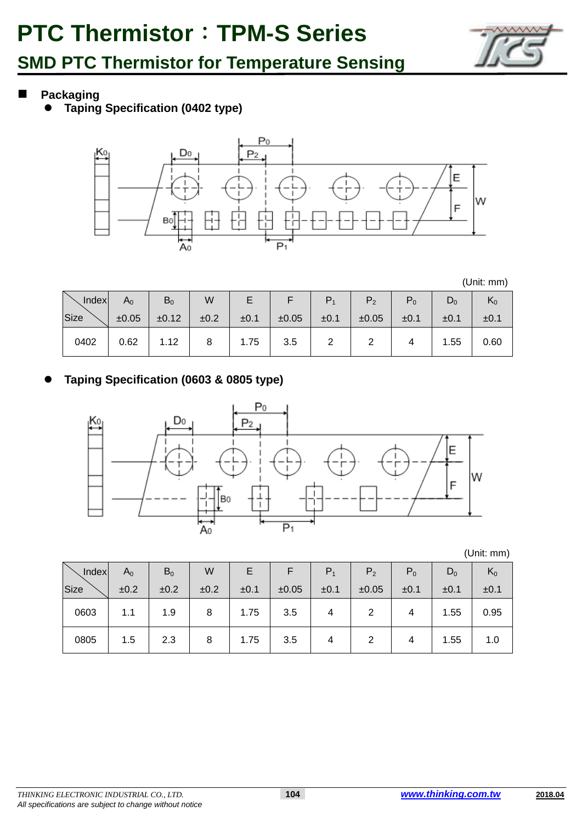

**Packaging**

**Taping Specification (0402 type)**



(Unit: mm)

| <b>Index</b> | $A_0$ | $B_0$ | W    |      |       |      | P <sub>2</sub> | $P_0$ | $D_0$ | $K_0$ |
|--------------|-------|-------|------|------|-------|------|----------------|-------|-------|-------|
| Size         | ±0.05 | ±0.12 | ±0.2 | ±0.1 | ±0.05 | ±0.1 | ±0.05          | ±0.1  | ±0.1  | ±0.1  |
| 0402         | 0.62  | 1.12  | 8    | 1.75 | 3.5   |      |                |       | 1.55  | 0.60  |

### **Taping Specification (0603 & 0805 type)**



(Unit: mm)

| Index | $A_0$ | $B_0$ | W    |      |       | $P_1$ | P <sub>2</sub> | $P_0$ | $D_0$ | $K_0$ |
|-------|-------|-------|------|------|-------|-------|----------------|-------|-------|-------|
| Size  | ±0.2  | ±0.2  | ±0.2 | ±0.1 | ±0.05 | ±0.1  | ±0.05          | ±0.1  | ±0.1  | ±0.1  |
| 0603  | 1.1   | 1.9   | 8    | 1.75 | 3.5   |       |                |       | 1.55  | 0.95  |
| 0805  | 1.5   | 2.3   | 8    | 1.75 | 3.5   |       |                |       | 1.55  | 1.0   |